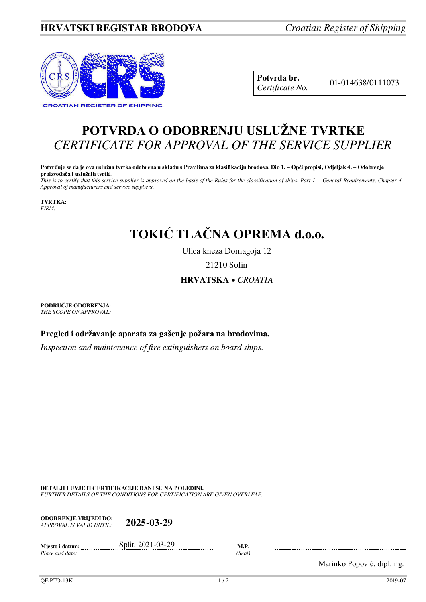## **HRVATSKI REGISTAR BRODOVA** *Croatian Register of Shipping*



**Potvrda br.** 01-014638/0111073 *Certificate No.* 

## **POTVRDA O ODOBRENJU USLUŽNE TVRTKE** *CERTIFICATE FOR APPROVAL OF THE SERVICE SUPPLIER*

**Potvrđuje se da je ova uslužna tvrtka odobrena u skladu s Pravilima za klasifikaciju brodova, Dio 1. – Opći propisi, Odjeljak 4. – Odobrenje proizvođača i uslužnih tvrtki.**

*This is to certify that this service supplier is approved on the basis of the Rules for the classification of ships, Part 1 – General Requirements, Chapter 4 – Approval of manufacturers and service suppliers.* 

**TVRTKA:** *FIRM:*

## **TOKIĆ TLAČNA OPREMA d.o.o.**

Ulica kneza Domagoja 12

21210 Solin

## **HRVATSKA** *CROATIA*

**PODRUČJE ODOBRENJA:** *THE SCOPE OF APPROVAL:* 

**Pregled i održavanje aparata za gašenje požara na brodovima.** 

*Inspection and maintenance of fire extinguishers on board ships.* 

**DETALJI I UVJETI CERTIFIKACIJE DANI SU NA POLEĐINI.** *FURTHER DETAILS OF THE CONDITIONS FOR CERTIFICATION ARE GIVEN OVERLEAF.* 

**ODOBRENJE VRIJEDI DO:**  *APPROVAL IS VALID UNTIL:* **2025-03-29**

| Miesto i datum: | 2021-03-29<br>Split, | M.I   |
|-----------------|----------------------|-------|
| Place and date: |                      | 'Seal |

Marinko Popović, dipl.ing.